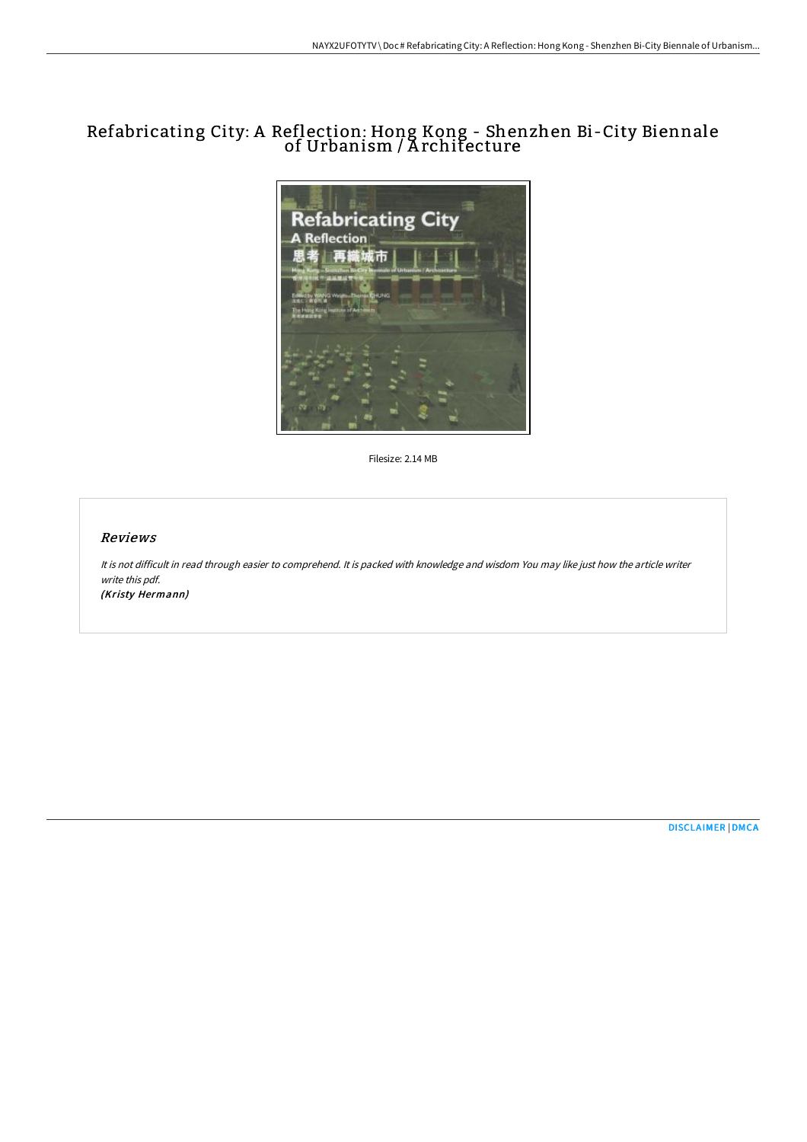# Refabricating City: A Reflection: Hong Kong - Shenzhen Bi-City Biennale of Urbanism / A rchitecture



Filesize: 2.14 MB

### Reviews

It is not difficult in read through easier to comprehend. It is packed with knowledge and wisdom You may like just how the article writer write this pdf.

(Kristy Hermann)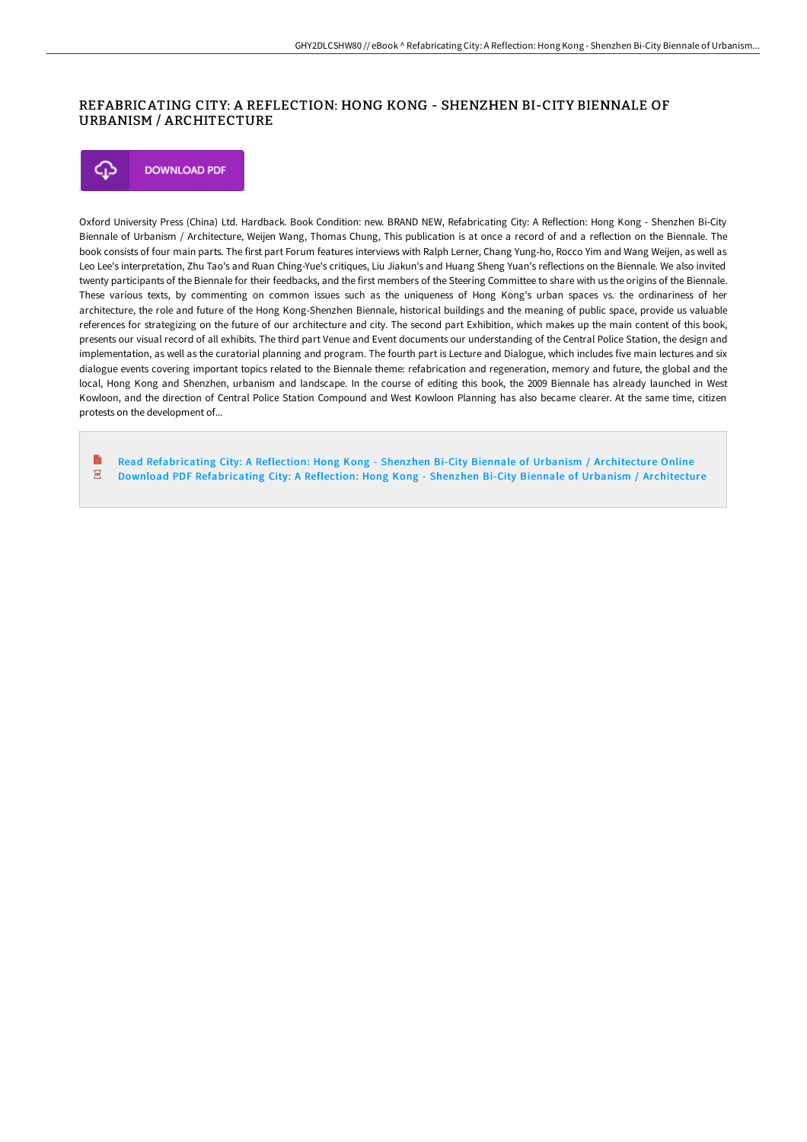# REFABRICATING CITY: A REFLECTION: HONG KONG - SHENZHEN BI-CITY BIENNALE OF URBANISM / ARCHITECTURE

## ⊕ **DOWNLOAD PDF**

Oxford University Press (China) Ltd. Hardback. Book Condition: new. BRAND NEW, Refabricating City: A Reflection: Hong Kong - Shenzhen Bi-City Biennale of Urbanism / Architecture, Weijen Wang, Thomas Chung, This publication is at once a record of and a reflection on the Biennale. The book consists of four main parts. The first part Forum features interviews with Ralph Lerner, Chang Yung-ho, Rocco Yim and Wang Weijen, as well as Leo Lee's interpretation, Zhu Tao's and Ruan Ching-Yue's critiques, Liu Jiakun's and Huang Sheng Yuan's reflections on the Biennale. We also invited twenty participants of the Biennale for their feedbacks, and the first members of the Steering Committee to share with us the origins of the Biennale. These various texts, by commenting on common issues such as the uniqueness of Hong Kong's urban spaces vs. the ordinariness of her architecture, the role and future of the Hong Kong-Shenzhen Biennale, historical buildings and the meaning of public space, provide us valuable references for strategizing on the future of our architecture and city. The second part Exhibition, which makes up the main content of this book, presents our visual record of all exhibits. The third part Venue and Event documents our understanding of the Central Police Station, the design and implementation, as well as the curatorial planning and program. The fourth part is Lecture and Dialogue, which includes five main lectures and six dialogue events covering important topics related to the Biennale theme: refabrication and regeneration, memory and future, the global and the local, Hong Kong and Shenzhen, urbanism and landscape. In the course of editing this book, the 2009 Biennale has already launched in West Kowloon, and the direction of Central Police Station Compound and West Kowloon Planning has also became clearer. At the same time, citizen protests on the development of...

E Read [Refabricating](http://albedo.media/refabricating-city-a-reflection-hong-kong-shenzh.html) City: A Reflection: Hong Kong - Shenzhen Bi-City Biennale of Urbanism / Architecture Online  $\overline{\rm \bf PDF}$ Download PDF [Refabricating](http://albedo.media/refabricating-city-a-reflection-hong-kong-shenzh.html) City: A Reflection: Hong Kong - Shenzhen Bi-City Biennale of Urbanism / Architecture